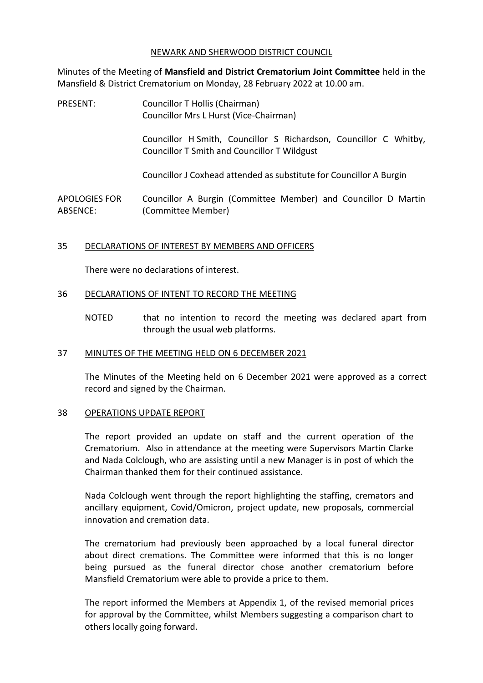### NEWARK AND SHERWOOD DISTRICT COUNCIL

Minutes of the Meeting of **Mansfield and District Crematorium Joint Committee** held in the Mansfield & District Crematorium on Monday, 28 February 2022 at 10.00 am.

| PRESENT:                         | Councillor T Hollis (Chairman)<br>Councillor Mrs L Hurst (Vice-Chairman)                                          |
|----------------------------------|-------------------------------------------------------------------------------------------------------------------|
|                                  | Councillor H Smith, Councillor S Richardson, Councillor C Whitby,<br>Councillor T Smith and Councillor T Wildgust |
|                                  | Councillor J Coxhead attended as substitute for Councillor A Burgin                                               |
| <b>APOLOGIES FOR</b><br>ABSENCE: | Councillor A Burgin (Committee Member) and Councillor D Martin<br>(Committee Member)                              |

## 35 DECLARATIONS OF INTEREST BY MEMBERS AND OFFICERS

There were no declarations of interest.

## 36 DECLARATIONS OF INTENT TO RECORD THE MEETING

NOTED that no intention to record the meeting was declared apart from through the usual web platforms.

## 37 MINUTES OF THE MEETING HELD ON 6 DECEMBER 2021

The Minutes of the Meeting held on 6 December 2021 were approved as a correct record and signed by the Chairman.

#### 38 OPERATIONS UPDATE REPORT

The report provided an update on staff and the current operation of the Crematorium. Also in attendance at the meeting were Supervisors Martin Clarke and Nada Colclough, who are assisting until a new Manager is in post of which the Chairman thanked them for their continued assistance.

Nada Colclough went through the report highlighting the staffing, cremators and ancillary equipment, Covid/Omicron, project update, new proposals, commercial innovation and cremation data.

The crematorium had previously been approached by a local funeral director about direct cremations. The Committee were informed that this is no longer being pursued as the funeral director chose another crematorium before Mansfield Crematorium were able to provide a price to them.

The report informed the Members at Appendix 1, of the revised memorial prices for approval by the Committee, whilst Members suggesting a comparison chart to others locally going forward.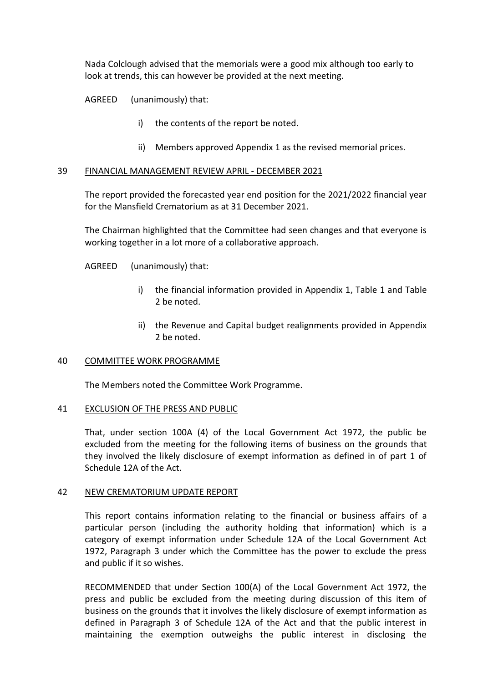Nada Colclough advised that the memorials were a good mix although too early to look at trends, this can however be provided at the next meeting.

AGREED (unanimously) that:

- i) the contents of the report be noted.
- ii) Members approved Appendix 1 as the revised memorial prices.

### 39 FINANCIAL MANAGEMENT REVIEW APRIL - DECEMBER 2021

The report provided the forecasted year end position for the 2021/2022 financial year for the Mansfield Crematorium as at 31 December 2021.

The Chairman highlighted that the Committee had seen changes and that everyone is working together in a lot more of a collaborative approach.

AGREED (unanimously) that:

- i) the financial information provided in Appendix 1, Table 1 and Table 2 be noted.
- ii) the Revenue and Capital budget realignments provided in Appendix 2 be noted.

## 40 COMMITTEE WORK PROGRAMME

The Members noted the Committee Work Programme.

## 41 EXCLUSION OF THE PRESS AND PUBLIC

That, under section 100A (4) of the Local Government Act 1972, the public be excluded from the meeting for the following items of business on the grounds that they involved the likely disclosure of exempt information as defined in of part 1 of Schedule 12A of the Act.

## 42 NEW CREMATORIUM UPDATE REPORT

This report contains information relating to the financial or business affairs of a particular person (including the authority holding that information) which is a category of exempt information under Schedule 12A of the Local Government Act 1972, Paragraph 3 under which the Committee has the power to exclude the press and public if it so wishes.

RECOMMENDED that under Section 100(A) of the Local Government Act 1972, the press and public be excluded from the meeting during discussion of this item of business on the grounds that it involves the likely disclosure of exempt information as defined in Paragraph 3 of Schedule 12A of the Act and that the public interest in maintaining the exemption outweighs the public interest in disclosing the